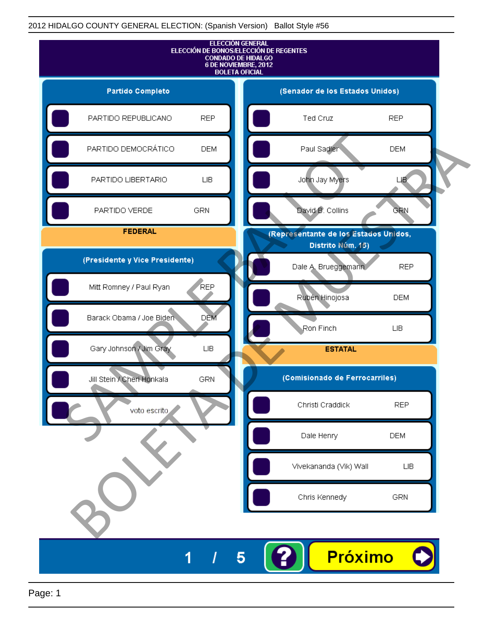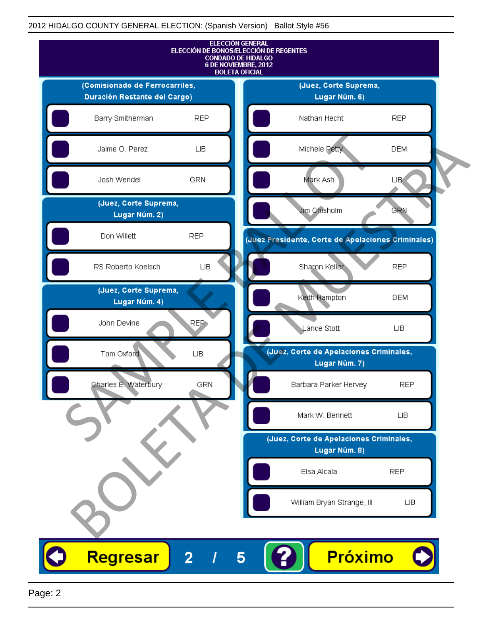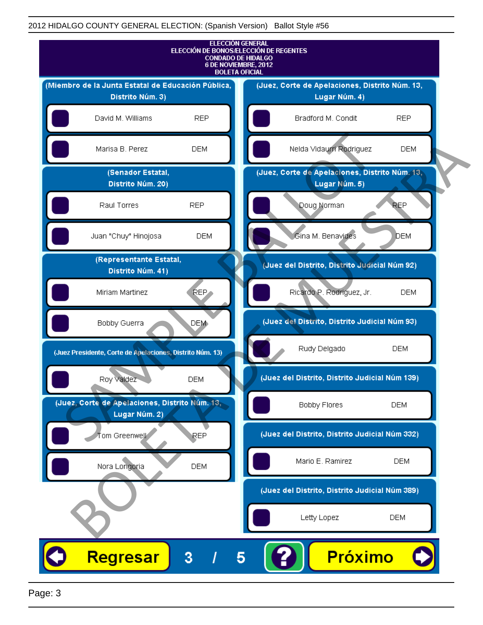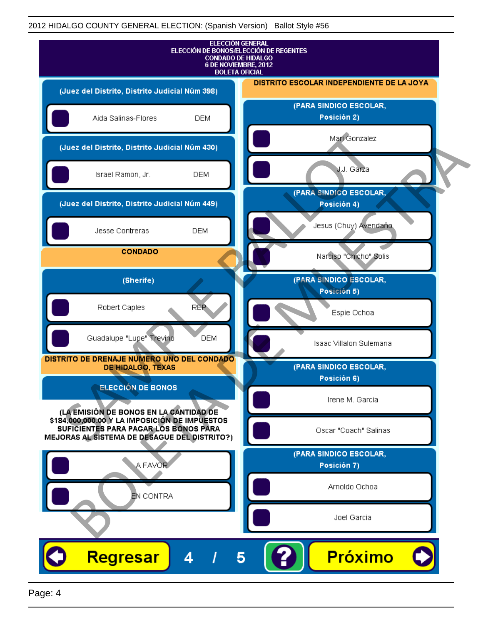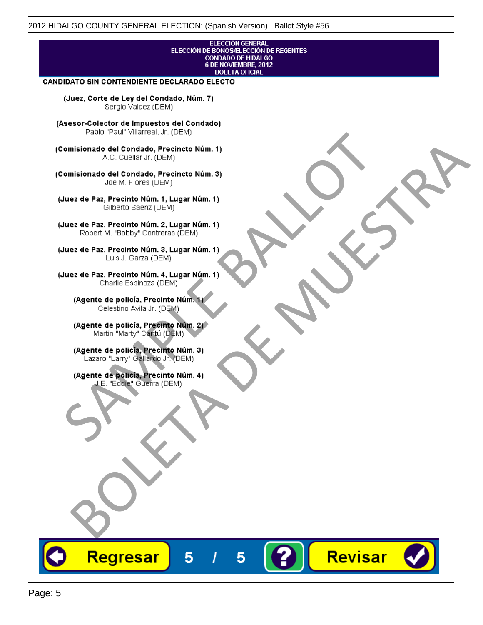# **ELECCIÓN GENERAL** ELECCIÓN DE BONOSÆLECCIÓN DE REGENTES<br>CONDADO DE HIDALGO<br>6 DE NOVIEMBRE, 2012 **BOLETA OFICIAL CANDIDATO SIN CONTENDIENTE DECLARADO ELECTO** (Juez, Corte de Ley del Condado, Núm. 7) Sergio Valdez (DEM) (Asesor-Colector de Impuestos del Condado) Fallo Fall Willdrea, J.I. (DEM)<br>
Consistionado el Condado, Precincto Núm. 1)<br>
A.C. Cuellar Jr. (DEM)<br>
Ullez de Paz, Precinto Núm. 1)<br>
Juez de Paz, Precinto Núm. 1, Lugar Núm. 1)<br>
Gilberto Sentr (DEM)<br>
Robert M. "Bobby" Con misionado del Condiado, Precincto Núm. 1)<br>
Andro del Condiado, Precincto Núm. 3)<br>
ez de Paz, Precinto Núm. 21<br>
algo M. Picer Lo Saerz, (CIEM)<br>
algo M. Picer Lo Saerz, (CIEM)<br>
algo M. Picer Lo Saerz, (CIEM)<br>
ez de Paz, Prec Revisar Regresar 5 5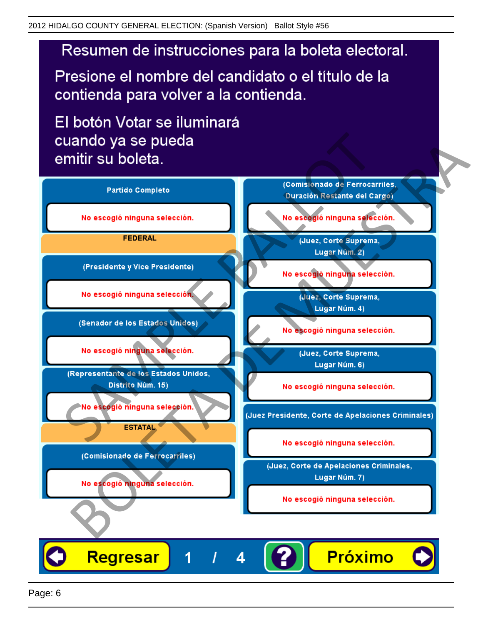Presione el nombre del candidato o el título de la contienda para volver a la contienda.

El botón Votar se iluminará

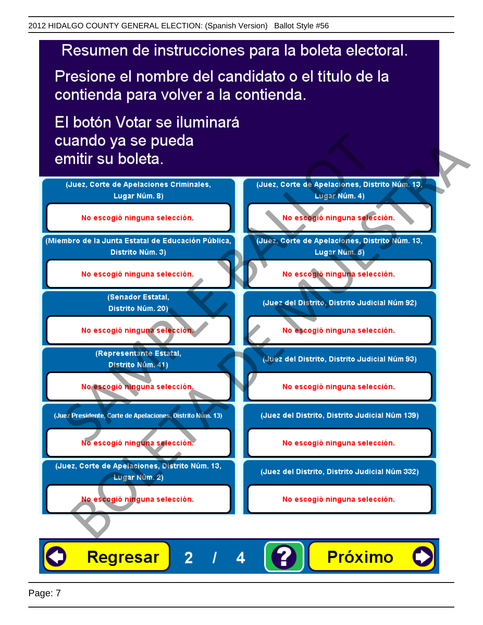Presione el nombre del candidato o el título de la contienda para volver a la contienda.

El botón Votar se iluminará



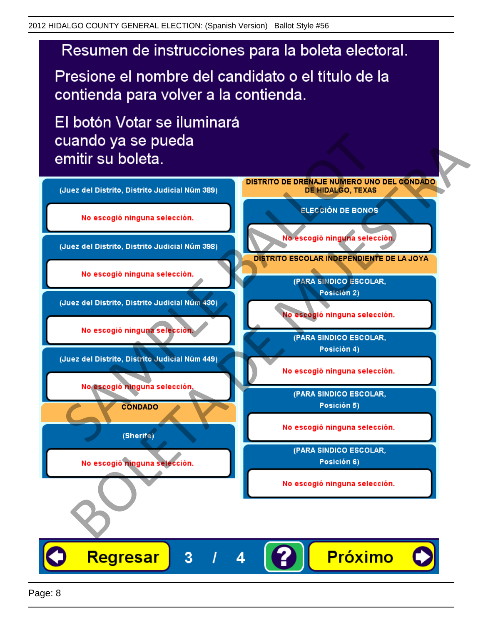Presione el nombre del candidato o el título de la contienda para volver a la contienda.

El botón Votar se iluminará